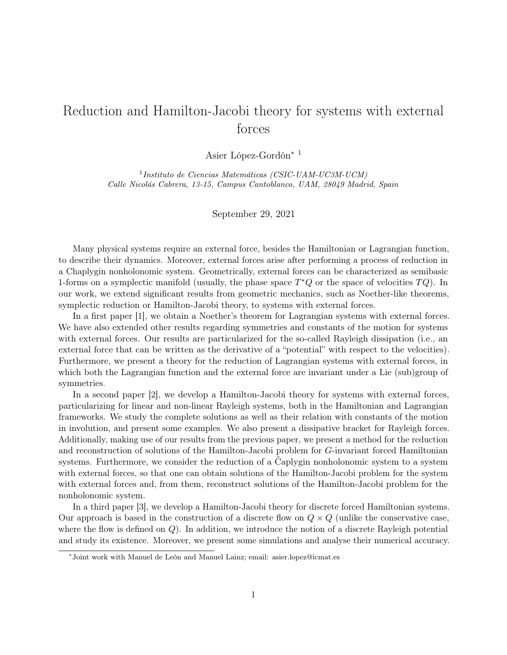## Reduction and Hamilton-Jacobi theory for systems with external forces

Asier López-Gordón<sup>∗</sup> <sup>1</sup>

1 Instituto de Ciencias Matemáticas (CSIC-UAM-UC3M-UCM) Calle Nicolás Cabrera, 13-15, Campus Cantoblanco, UAM, 28049 Madrid, Spain

September 29, 2021

Many physical systems require an external force, besides the Hamiltonian or Lagrangian function, to describe their dynamics. Moreover, external forces arise after performing a process of reduction in a Chaplygin nonholonomic system. Geometrically, external forces can be characterized as semibasic 1-forms on a symplectic manifold (usually, the phase space  $T^*Q$  or the space of velocities  $TQ$ ). In our work, we extend significant results from geometric mechanics, such as Noether-like theorems, symplectic reduction or Hamilton-Jacobi theory, to systems with external forces.

In a first paper [1], we obtain a Noether's theorem for Lagrangian systems with external forces. We have also extended other results regarding symmetries and constants of the motion for systems with external forces. Our results are particularized for the so-called Rayleigh dissipation (i.e., an external force that can be written as the derivative of a "potential" with respect to the velocities). Furthermore, we present a theory for the reduction of Lagrangian systems with external forces, in which both the Lagrangian function and the external force are invariant under a Lie (sub)group of symmetries.

In a second paper [2], we develop a Hamilton-Jacobi theory for systems with external forces, particularizing for linear and non-linear Rayleigh systems, both in the Hamiltonian and Lagrangian frameworks. We study the complete solutions as well as their relation with constants of the motion in involution, and present some examples. We also present a dissipative bracket for Rayleigh forces. Additionally, making use of our results from the previous paper, we present a method for the reduction and reconstruction of solutions of the Hamilton-Jacobi problem for G-invariant forced Hamiltonian systems. Furthermore, we consider the reduction of a Čaplygin nonholonomic system to a system with external forces, so that one can obtain solutions of the Hamilton-Jacobi problem for the system with external forces and, from them, reconstruct solutions of the Hamilton-Jacobi problem for the nonholonomic system.

In a third paper [3], we develop a Hamilton-Jacobi theory for discrete forced Hamiltonian systems. Our approach is based in the construction of a discrete flow on  $Q \times Q$  (unlike the conservative case, where the flow is defined on  $Q$ ). In addition, we introduce the notion of a discrete Rayleigh potential and study its existence. Moreover, we present some simulations and analyse their numerical accuracy.

<sup>∗</sup> Joint work with Manuel de León and Manuel Lainz; email: asier.lopez@icmat.es